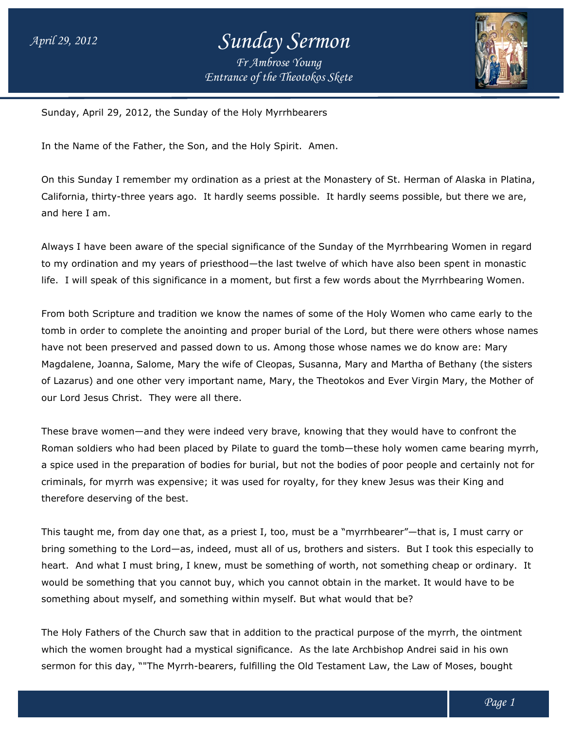## *Entrance of the Theotokos Skete Sunday Sermon Fr Ambrose Young*



Sunday, April 29, 2012, the Sunday of the Holy Myrrhbearers the Holy Myrrhbearers

In the Name of the Father, the Son, and the Holy Spirit. Amen.

On this Sunday I remember my ordination as a priest at the Monastery of St. Herman of Alaska in Platina, On this Sunday I remember my ordination as a priest at the Monastery of St. Herman of Alaska in Platina<br>California, thirty-three years ago. It hardly seems possible. It hardly seems possible, but there we are, and here I am.

Always I have been aware of the special significance of the Sunday of the Myrrhbearing Women in regard to my ordination and my years of priesthood to my priesthood—the last twelve of which have also been spent in monastic life. I will speak of this significance in a moment, but first a few words about the Myrrhbearing Women.

From both Scripture and tradition we know the names of some of the Holy Women who came early to the tomb in order to complete the anointing and proper burial of the Lord, but there were others whose names have not been preserved and passed down to us. Among those whose names we do know are: Mary Magdalene, Joanna, Salome, Mary the wife of Cleopas, Susanna, Mary and Martha of Bethany (the sisters of Lazarus) and one other very important name, Mary, the Theotokos and Ever Virgin Mary, the Mother of our Lord Jesus Christ. They were all there. life. I will speak of this significance in a moment, but first a few words about the Myrrhbearing Women.<br>From both Scripture and tradition we know the names of some of the Holy Women who came early to the<br>tomb in order to the last twelve of which have also been spent in monastic<br>int, but first a few words about the Myrrhbearing Women.<br>In ames of some of the Holy Women who came early to the<br>roper burial of the Lord, but there were others who

These brave women—and they were indeed very brave, knowing that they would have to confront the our Lord Jesus Christ. They were all there.<br>These brave women—and they were indeed very brave, knowing that they would have to confront the<br>Roman soldiers who had been placed by Pilate to guard the tomb—these holy women ca a spice used in the preparation of bodies for burial, but not the bodies of poor people and certainly not for criminals, for myrrh was expensive; it was used for royalty, for they knew Jesus was their King therefore deserving of the best. spice used in the preparation of bodies for burial, but not the bodies of poor people and certainly not for myrrh was expensive; it was used for royalty, for they knew Jesus was their King and erefore deserving of the best and they were indeed very brave, knowing that they would have to confront th<br>ad been placed by Pilate to guard the tomb—these holy women came bearing<br>eparation of bodies for burial, but not the bodies of poor people and ce

This taught me, from day one that, as a priest I, too, must be a "myrrhbearer"—that is, I must carry or bring something to the Lord—as, indeed, must all of us, brothers and sisters. But I took this especially to bring something to the Lord—as, indeed, must all of us, brothers and sisters. But I took this especially to<br>heart. And what I must bring, I knew, must be something of worth, not something cheap or ordinary. It would be something that you cannot buy, which you cannot obtain in the market. It would have to be something about myself, and something within myself. But what would that be? must bring, I knew, must be something of worth, not somethi<br>g that you cannot buy, which you cannot obtain in the market<br>iyself, and something within myself. But what would that be?

The Holy Fathers of the Church saw that in addition to the practical purpose of the myrrh, the ointment which the women brought had a mystical significance. As the late Archbishop Andrei said in his own sermon for this day, ""The Myrrh-bearers, fulfilling the Old Testament Law, the Law of Moses, bought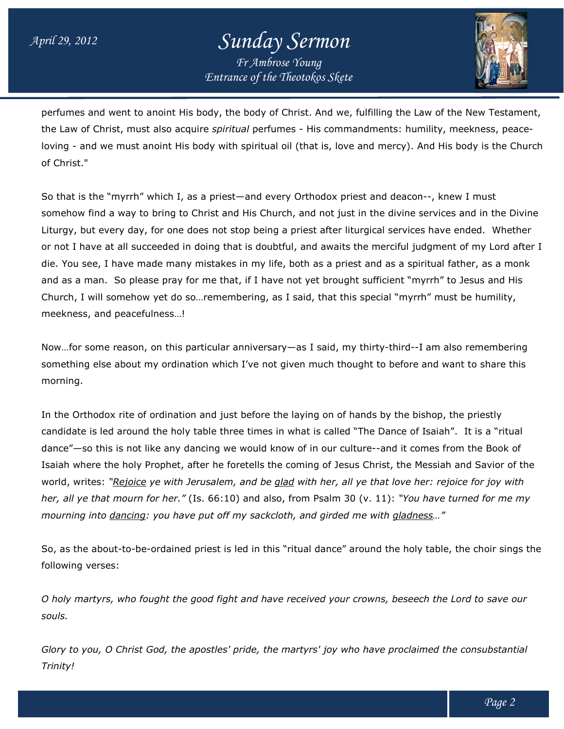## *Entrance of the Theotokos Skete Sunday Sermon Fr Ambrose Young*



perfumes and went to anoint His body, the body of Christ. And we, fulfilling the Law of the New Testament, perfumes and went to anoint His body, the body of Christ. And we, fulfilling the Law of the New Testamen<br>the Law of Christ, must also acquire *spiritual* perfumes - His commandments: humility, meekness, peaceloving - and we must anoint His body with spiritual oil (that is, love and mercy). And His body is the Church of Christ."

So that is the "myrrh" which I, as a priest—and every Orthodox priest and deacon--, knew I must somehow find a way to bring to Christ and His Church, and not just in the divine services and in the Divine Liturgy, but every day, for one does not stop being a priest after liturgical services have ended. Whether or not I have at all succeeded in doing that is doubtful, and awaits the merciful judgment of my Lord after I die. You see, I have made many mistakes in my life, both as a priest and as a spiritual father, as a monk and as a man. So please pray for me that, if I have not yet brought sufficient "myrrh" to Jesus and His Church, I will somehow yet do so…remembering, as I said, that this special "myrrh" must be humility, meekness, and peacefulness…! Church, I will somehow yet do so…remembering, as I said, that this special "myrrh" must be humility,<br>meekness, and peacefulness…!<br>Now…for some reason, on this particular anniversary—as I said, my thirty-third--I am also re find a way to bring to Christ and His Church, and not just in the divine services and in the Divi<br>ut every day, for one does not stop being a priest after liturgical services have ended. Whethe<br>ave at all succeeded in doin et brought sufficient "myrrh" to Jesus and His<br>|, that this special "myrrh" must be humility,<br>! said, my thirty-third--I am also remembering

something else about my ordination which I've not given much thought to before and want to share this morning.

In the Orthodox rite of ordination and just before the laying on of hands by the bishop, the priestly candidate is led around the holy table three times in what is called "The Dance of Isaiah". dance"—so this is not like any dancing we would know of in our culture--and Isaiah where the holy Prophet, after he foretells the coming of Jesus Christ, the Messiah and Savior of the world, writes: "<u>Rejoice</u> ye with Jerusalem, and be <u>glad</u> with her, all ye that love her: rejoice for joy with world, writes: "<u>Rejoice</u> ye with Jerusalem, and be <u>glad</u> with her, all ye that love her: rejoice for joy with<br>her, all ye that mourn for her." (Is. 66:10) and also, from Psalm 30 (v. 11): "You have turned for me my *mourning into dancing: you have put off my sackcloth, and girded me with : sackcloth, gladness gladness…"* ig else about my ordination which I've not given much thought to before and want to share this<br>thodox rite of ordination and just before the laying on of hands by the bishop, the priestly<br>e is led around the holy table thr Isaiah". It is a "ritual

So, as the about-to-be-ordained priest is led in this "ritual dance" around the holy table, the choir sings the following verses:

*O holy martyrs, who fought the good fight and have received your crowns, beseech the Lord to save our souls. G holy martyrs, who fought the good fight and have received your crowns, beseech the Lord to save our<br>souls.<br>Glory to you, O Christ God, the apostles' pride, the martyrs' joy who have proclaimed the consubstantial* 

*Trinity!*